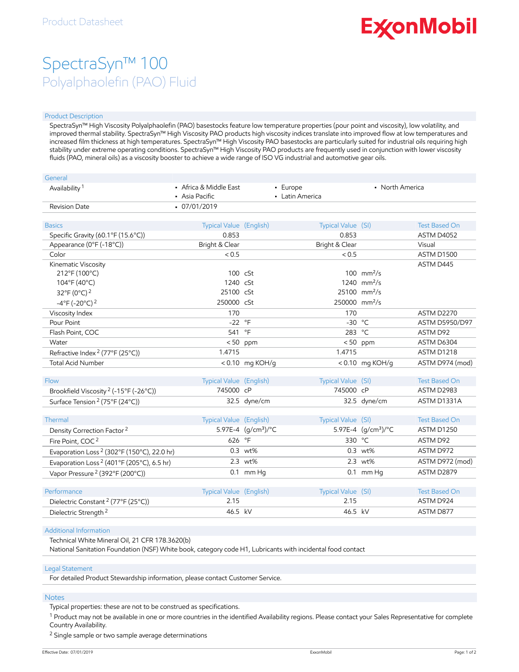# **ExconMobil**

## SpectraSyn™ 100 Polyalphaolefin (PAO) Fluid

#### Product Description

SpectraSyn™ High Viscosity Polyalphaolefin (PAO) basestocks feature low temperature properties (pour point and viscosity), low volatility, and improved thermal stability. SpectraSyn™ High Viscosity PAO products high viscosity indices translate into improved flow at low temperatures and increased film thickness at high temperatures. SpectraSyn™ High Viscosity PAO basestocks are particularly suited for industrial oils requiring high stability under extreme operating conditions. SpectraSyn™ High Viscosity PAO products are frequently used in conjunction with lower viscosity fluids (PAO, mineral oils) as a viscosity booster to achieve a wide range of ISO VG industrial and automotive gear oils.

| General                                                |                                          |                                 |                             |                                 |                      |
|--------------------------------------------------------|------------------------------------------|---------------------------------|-----------------------------|---------------------------------|----------------------|
| Availability <sup>1</sup>                              | • Africa & Middle East<br>• Asia Pacific |                                 | - Europe<br>• Latin America | • North America                 |                      |
| <b>Revision Date</b>                                   | $-07/01/2019$                            |                                 |                             |                                 |                      |
|                                                        |                                          |                                 |                             |                                 |                      |
| <b>Basics</b>                                          | Typical Value (English)                  |                                 | Typical Value (SI)          |                                 | <b>Test Based On</b> |
| Specific Gravity (60.1°F (15.6°C))                     | 0.853                                    |                                 | 0.853                       |                                 | ASTM D4052           |
| Appearance (0°F (-18°C))                               | Bright & Clear                           |                                 | Bright & Clear              |                                 | Visual               |
| Color                                                  | < 0.5                                    |                                 | < 0.5                       |                                 | ASTM D1500           |
| Kinematic Viscosity                                    |                                          |                                 |                             |                                 | ASTM D445            |
| 212°F (100°C)                                          | 100 cSt                                  |                                 |                             | 100 $mm^2/s$                    |                      |
| 104°F (40°C)                                           | 1240 cSt                                 |                                 |                             | 1240 $mm^2/s$                   |                      |
| 32°F (0°C) <sup>2</sup>                                | 25100 cSt                                |                                 |                             | $25100$ mm <sup>2</sup> /s      |                      |
| $-4^{\circ}$ F (-20 $^{\circ}$ C) <sup>2</sup>         | 250000 cSt                               |                                 | 250000 mm <sup>2</sup> /s   |                                 |                      |
| Viscosity Index                                        | 170                                      |                                 | 170                         |                                 | ASTM D2270           |
| Pour Point                                             | $-22$ °F                                 |                                 | $-30$ °C                    |                                 | ASTM D5950/D97       |
| Flash Point, COC                                       | 541                                      | $\circ$ F                       | 283 °C                      |                                 | ASTM D92             |
| Water                                                  | < 50                                     | ppm                             | < 50                        | ppm                             | ASTM D6304           |
| Refractive Index <sup>2</sup> (77°F (25°C))            | 1.4715                                   |                                 | 1.4715                      |                                 | ASTM D1218           |
| <b>Total Acid Number</b>                               |                                          | <0.10 mg KOH/g                  |                             | $< 0.10$ mg KOH/g               | ASTM D974 (mod)      |
|                                                        |                                          |                                 |                             |                                 |                      |
| Flow                                                   | Typical Value (English)                  |                                 | Typical Value (SI)          |                                 | <b>Test Based On</b> |
| Brookfield Viscosity <sup>2</sup> (-15°F (-26°C))      | 745000 cP                                |                                 | 745000 cP                   |                                 | ASTM D2983           |
| Surface Tension <sup>2</sup> (75°F (24°C))             |                                          | 32.5 dyne/cm                    |                             | 32.5 dyne/cm                    | ASTM D1331A          |
|                                                        |                                          |                                 |                             |                                 |                      |
| Thermal                                                | Typical Value (English)                  |                                 | Typical Value (SI)          |                                 | <b>Test Based On</b> |
| Density Correction Factor <sup>2</sup>                 |                                          | 5.97E-4 (g/cm <sup>3</sup> )/°C |                             | 5.97E-4 (g/cm <sup>3</sup> )/°C | <b>ASTM D1250</b>    |
| Fire Point, COC <sup>2</sup>                           | 626                                      | $^{\circ}$ F                    | 330 °C                      |                                 | ASTM D92             |
| Evaporation Loss <sup>2</sup> (302°F (150°C), 22.0 hr) |                                          | 0.3 wt%                         |                             | 0.3 wt%                         | ASTM D972            |
| Evaporation Loss <sup>2</sup> (401°F (205°C), 6.5 hr)  |                                          | 2.3 wt%                         |                             | 2.3 wt%                         | ASTM D972 (mod)      |
| Vapor Pressure <sup>2</sup> (392°F (200°C))            |                                          | $0.1$ mm Hq                     |                             | $0.1$ mm Hq                     | ASTM D2879           |
|                                                        |                                          |                                 |                             |                                 |                      |
| Performance                                            | Typical Value (English)                  |                                 | Typical Value (SI)          |                                 | <b>Test Based On</b> |
| Dielectric Constant <sup>2</sup> (77°F (25°C))         | 2.15                                     |                                 | 2.15                        |                                 | ASTM D924            |
| Dielectric Strength <sup>2</sup>                       | 46.5 kV                                  |                                 | 46.5 kV                     |                                 | ASTM D877            |

#### Additional Information

Technical White Mineral Oil, 21 CFR 178.3620(b)

National Sanitation Foundation (NSF) White book, category code H1, Lubricants with incidental food contact

#### Legal Statement

For detailed Product Stewardship information, please contact Customer Service.

#### Notes

Typical properties: these are not to be construed as specifications.

 $^1$  Product may not be available in one or more countries in the identified Availability regions. Please contact your Sales Representative for complete Country Availability.

<sup>2</sup> Single sample or two sample average determinations